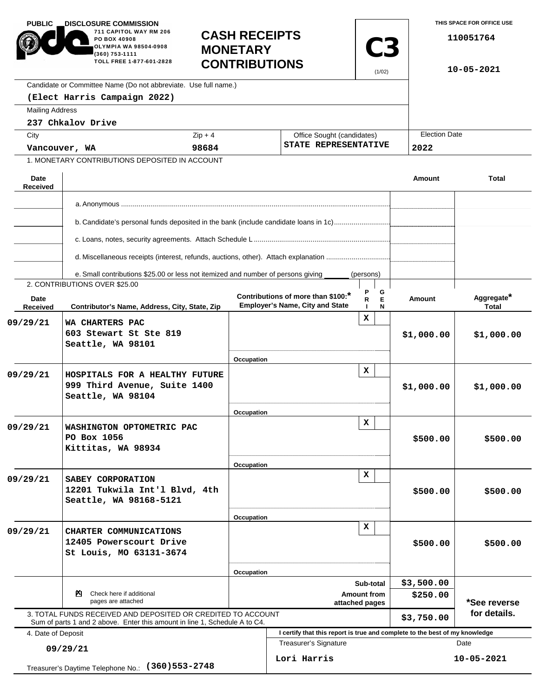| <b>PUBLIC</b><br><b>DISCLOSURE COMMISSION</b>          |                                                                                                                                            |                                                                 |                                      |                                                                             |                            |                     |               | THIS SPACE FOR OFFICE USE  |  |
|--------------------------------------------------------|--------------------------------------------------------------------------------------------------------------------------------------------|-----------------------------------------------------------------|--------------------------------------|-----------------------------------------------------------------------------|----------------------------|---------------------|---------------|----------------------------|--|
|                                                        | 711 CAPITOL WAY RM 206<br>PO BOX 40908<br>OLYMPIA WA 98504-0908<br>(360) 753-1111<br>TOLL FREE 1-877-601-2828                              | <b>CASH RECEIPTS</b><br><b>MONETARY</b><br><b>CONTRIBUTIONS</b> |                                      |                                                                             |                            | <b>C3</b><br>(1/02) |               | 110051764<br>10-05-2021    |  |
|                                                        | Candidate or Committee Name (Do not abbreviate. Use full name.)                                                                            |                                                                 |                                      |                                                                             |                            |                     |               |                            |  |
|                                                        | (Elect Harris Campaign 2022)                                                                                                               |                                                                 |                                      |                                                                             |                            |                     |               |                            |  |
| <b>Mailing Address</b>                                 |                                                                                                                                            |                                                                 |                                      |                                                                             |                            |                     |               |                            |  |
|                                                        | 237 Chkalov Drive                                                                                                                          |                                                                 |                                      |                                                                             |                            |                     |               |                            |  |
| City                                                   |                                                                                                                                            | $Zip + 4$                                                       |                                      |                                                                             | Office Sought (candidates) |                     |               | <b>Election Date</b>       |  |
| Vancouver, WA                                          |                                                                                                                                            | 98684                                                           |                                      | STATE REPRESENTATIVE                                                        |                            |                     | 2022          |                            |  |
|                                                        | 1. MONETARY CONTRIBUTIONS DEPOSITED IN ACCOUNT                                                                                             |                                                                 |                                      |                                                                             |                            |                     |               |                            |  |
| Date<br>Received                                       |                                                                                                                                            |                                                                 |                                      |                                                                             |                            |                     | Amount        | Total                      |  |
|                                                        |                                                                                                                                            |                                                                 |                                      |                                                                             |                            |                     |               |                            |  |
|                                                        |                                                                                                                                            |                                                                 |                                      |                                                                             |                            |                     |               |                            |  |
|                                                        | b. Candidate's personal funds deposited in the bank (include candidate loans in 1c)                                                        |                                                                 |                                      |                                                                             |                            |                     |               |                            |  |
|                                                        | d. Miscellaneous receipts (interest, refunds, auctions, other). Attach explanation                                                         |                                                                 |                                      |                                                                             |                            |                     |               |                            |  |
|                                                        |                                                                                                                                            |                                                                 |                                      |                                                                             |                            |                     |               |                            |  |
|                                                        | e. Small contributions \$25.00 or less not itemized and number of persons giving<br>2. CONTRIBUTIONS OVER \$25.00                          |                                                                 |                                      |                                                                             | (persons)                  |                     |               |                            |  |
| Date<br>Received                                       | Contributor's Name, Address, City, State, Zip                                                                                              |                                                                 |                                      | Contributions of more than \$100:<br><b>Employer's Name, City and State</b> | R.                         | G<br>E<br>N         | <b>Amount</b> | Aggregate*<br><b>Total</b> |  |
| 09/29/21                                               | WA CHARTERS PAC<br>603 Stewart St Ste 819<br>Seattle, WA 98101                                                                             |                                                                 |                                      |                                                                             | x                          |                     | \$1,000.00    | \$1,000.00                 |  |
|                                                        |                                                                                                                                            | Occupation                                                      |                                      |                                                                             |                            |                     |               |                            |  |
| 09/29/21                                               | HOSPITALS FOR A HEALTHY FUTURE<br>999 Third Avenue, Suite 1400<br>Seattle, WA 98104                                                        |                                                                 |                                      |                                                                             | $\mathbf x$                |                     | \$1,000.00    | \$1,000.00                 |  |
|                                                        |                                                                                                                                            | Occupation                                                      |                                      |                                                                             |                            |                     |               |                            |  |
| 09/29/21                                               | WASHINGTON OPTOMETRIC PAC<br>PO Box 1056<br>Kittitas, WA 98934                                                                             |                                                                 |                                      |                                                                             | x                          |                     | \$500.00      | \$500.00                   |  |
|                                                        |                                                                                                                                            | Occupation                                                      |                                      |                                                                             | x                          |                     |               |                            |  |
| 09/29/21                                               | SABEY CORPORATION<br>12201 Tukwila Int'l Blvd, 4th<br>Seattle, WA 98168-5121                                                               |                                                                 |                                      |                                                                             |                            |                     | \$500.00      | \$500.00                   |  |
|                                                        |                                                                                                                                            | Occupation                                                      |                                      |                                                                             |                            |                     |               |                            |  |
| 09/29/21                                               | CHARTER COMMUNICATIONS<br>12405 Powerscourt Drive<br>St Louis, MO 63131-3674                                                               |                                                                 | x                                    |                                                                             |                            |                     | \$500.00      | \$500.00                   |  |
|                                                        |                                                                                                                                            |                                                                 | Occupation<br>Sub-total              |                                                                             |                            |                     | \$3,500.00    |                            |  |
| Check here if additional<br>PЧ.<br>pages are attached  |                                                                                                                                            |                                                                 | <b>Amount from</b><br>attached pages |                                                                             |                            |                     | \$250.00      | *See reverse               |  |
|                                                        | 3. TOTAL FUNDS RECEIVED AND DEPOSITED OR CREDITED TO ACCOUNT<br>Sum of parts 1 and 2 above. Enter this amount in line 1, Schedule A to C4. |                                                                 |                                      |                                                                             |                            |                     | \$3,750.00    | for details.               |  |
| 4. Date of Deposit                                     |                                                                                                                                            |                                                                 |                                      | I certify that this report is true and complete to the best of my knowledge |                            |                     |               |                            |  |
| 09/29/21                                               |                                                                                                                                            |                                                                 |                                      | <b>Treasurer's Signature</b>                                                |                            |                     |               | Date                       |  |
| $(360)$ 553-2748<br>Treasurer's Daytime Telephone No.: |                                                                                                                                            |                                                                 |                                      | Lori Harris                                                                 |                            |                     |               | 10-05-2021                 |  |